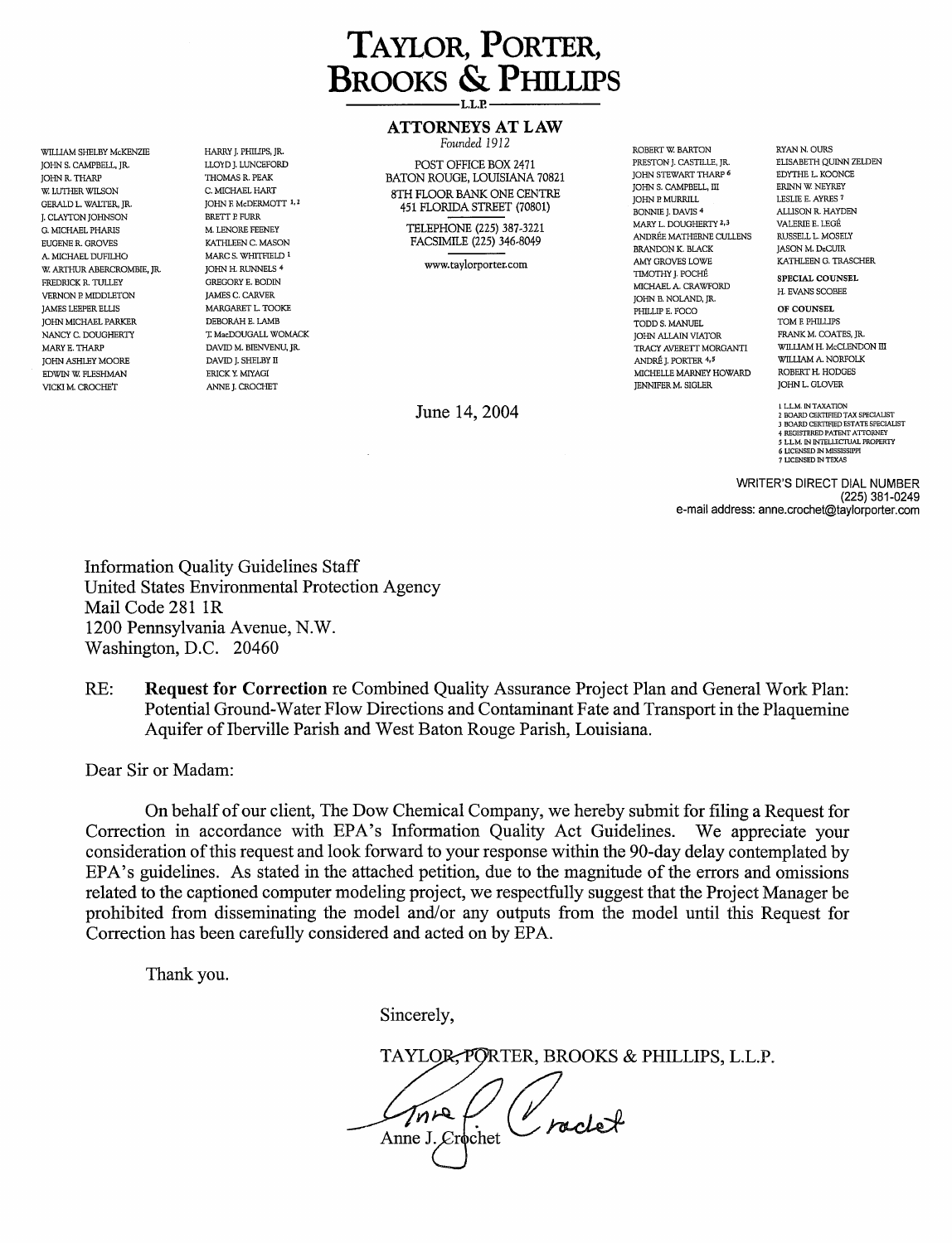

# **ATTORNEYS AT LAW**

WILLIAM SHELBY McKENZIE HARRY J. PHILlPS, JR. *Founded 1912* ROBERT W BARTON RYANN.OURS JOHNS. CAMPBELL, JR. LLOYD J. LUNCEFORD POST OFFICE BOX 2471 PRESTON]. CASTILLE, JR. ELISABETH QUINN ZELDEN BATON ROUGE, LOUISIANA 70821 8TH FLOOR BANK ONE CENTRE 451 FLORIDA STREET (70801)

> TELEPHONE (225) 387-3221 FACSIMILE (225) 346-8049

> > www.taylorporter.com

June 14, 2004 **l LLM. IN TAXATION** 

JOHN STEWART THARP 6 JOHN S. CAMPBELL, III JOHN P. MURRILL BONNIE]. DAVIS 4 MARY L. DOUGHERTY 2,3 ANDREE MATHERNE CULLENS BRANDON K. BLACK AMY GROVES LOWE TIMOTHY]. POCHE MICHAEL A. CRAWFORD JOHN B. NOLAND, JR. JAMES LEEPER ELLIS **OF COUNSEL** MARGARET L. TOOKE WAS COMBED AND THE LATER OF COUNSEL PHILLIP E. FOCO **OF COUNSEL** JOHN MICHAEL PARKER DEBORAH E. LAMB TODDS. MANUEL TOM E PHILLIPS NANCY C. DOUGHERTY TAGENOUGALL WOMACK THE SUBSEXUAL SERVEROUGHERTY THE MACHAN VIATOR TRANK M. COATES, JR. MACH<br>MARY E. THARP WILLIAM H. McCLENDON III DAVID M. BIENVENU, JR. MACHANN SUBSEXUAL SUBSEXUAL SUBSEXUAL SUBSEXUAL H MARYE. THARP DAVID M. BIENVENU, JR. TRACY AVERETT MORGANTI WILLIAM H. McCLENDON III JOHN ASHLEY MOORE DAVID]. SHELBY II ANDREJ. PORTER 4,5 WILLIAM A. NORFOLK EDWIN W. FLESHMAN ERICK Y. MIYAGI ERICK Y. MIYAGI MICHELLE MARNEY HOWARD ROBERT H. HODGES<br>ERICKI M. CROCHET ANNE J. CROCHET ANNE J. CROCHET ANNE J. CROCHET ANNER HERICK HOWARD JOHN L. GLOVER VICKI M. CROCHET ANNE ANNE J. CROCHET ANNE ANNE ANNE ARREST AND A SUMMER M. SIGLER AND HENNIFER M. SIGLER JOHN L. GLOVER

EDYTHE L. KOONCE ERINN W NEYREY LESLlE E. AYRES 7 ALLlSON R. HAYDEN VALERIE E. LEGE RUSSELL L. MOSELY JASON M. DeCUIR KATHLEEN G. TRASCHER

SPECIAL COUNSEL H. EVANS SCOBEE

2 BOARD CERTIFIED TAX SPECIALIST 3 BOARD CERTIFIED ESTATE SPEC!AUST 4 REGISTERED PATENT ATTORNEY *5* LLM. IN INTELLECTUAL PROPERTY 6 LICENSED IN MISSISSIPPI 7 LICENSED IN TEXAS

WRITER'S DIRECT DIAL NUMBER (225) 381-0249 e-mail address: [anne.crochet@taylorporter.com](mailto:anne.crochet@taylorporter.com) 

Information Quality Guidelines Staff United States Environmental Protection Agency Mail Code 281 lR 1200 Pennsylvania Avenue, N.W. Washington, D.C. 20460

THOMAS R. PEAK C. MICHAEL HART JOHN E McDERMOTT 1,2 BRETT P. FURR M. LENORE FEENEY KATHLEEN C. MASON MARC S. WHITFIELD 1 JOHN H. RUNNELS 4 GREGORY E. BODIN JAMES C. CARVER

RE: **Request for Correction** re Combined Quality Assurance Project Plan and General Work Plan: Potential Ground-Water Flow Directions and Contaminant Fate and Transport in the Plaquemine Aquifer of Iberville Parish and West Baton Rouge Parish, Louisiana.

Dear Sir or Madam:

JOHN R. THARP W. LUTHER WILSON GERALD L. WALTER, JR. J. CLAYTON JOHNSON G. MICHAEL PHARIS EUGENE R. GROVES A. MICHAEL DUFILHO W. ARTHUR ABERCROMBIE, JR. FREDRICK R. TULLEY VERNON P. MIDDLETON<br>JAMES LEEPER ELLIS

> On behalf of our client, The Dow Chemical Company, we hereby submit for filing a Request for ion in accordance with EPA's Information Quality Act Guidelines. We appreciate your Correction in accordance with EPA's Information Quality Act Guidelines. consideration ofthis request and look forward to your response within the 90-day delay contemplated by EPA's guidelines. As stated in the attached petition, due to the magnitude of the errors and omissions related to the captioned computer modeling project, we respectfully suggest that the Project Manager be prohibited from disseminating the model and/or any outputs from the model until this Request for Correction has been carefully considered and acted on by EPA.

Thank you.

Sincerely,

TAYLOR, PORTER, BROOKS & PHILLIPS, L.L.P. Anne J. Crochet (Vraclet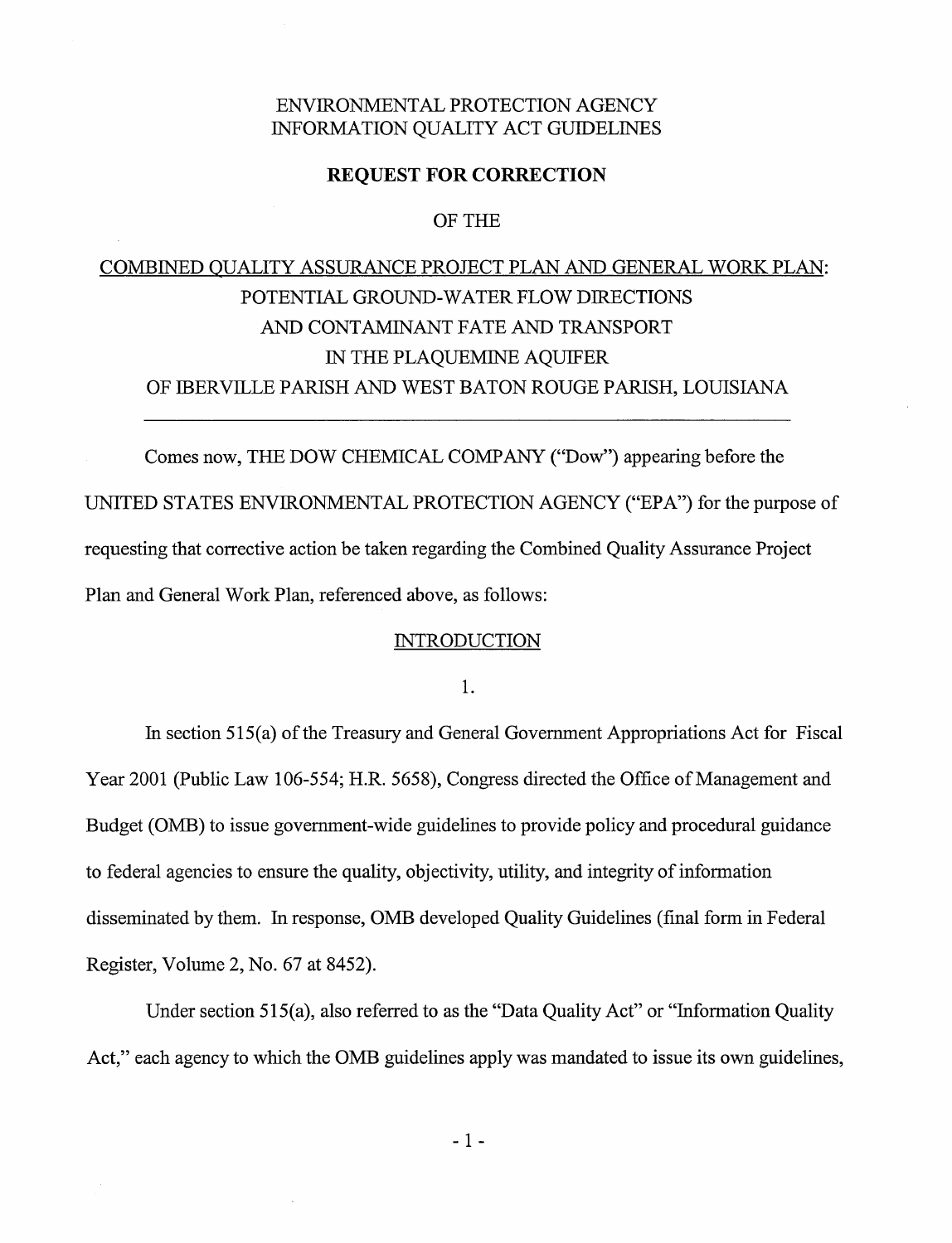# ENVIRONMENTAL PROTECTION AGENCY INFORMATION QUALITY ACT GUIDELINES

#### **REQUEST FOR CORRECTION**

OF THE

# COMBINED QUALITY ASSURANCE PROJECT PLAN AND GENERAL WORK PLAN: POTENTIAL GROUND-WATER FLOW DIRECTIONS AND CONTAMINANT FATE AND TRANSPORT IN THE PLAQUEMINE AQUIFER OF IBERVILLE PARISH AND WEST BATON ROUGE PARISH, LOUISIANA

Comes now, THE DOW CHEMICAL COMPANY ("Dow") appearing before the UNITED STATES ENVIRONMENTAL PROTECTION AGENCY ("EPA") for the purpose of requesting that corrective action be taken regarding the Combined Quality Assurance Project Plan and General Work Plan, referenced above, as follows:

### **INTRODUCTION**

1.

In section  $515(a)$  of the Treasury and General Government Appropriations Act for Fiscal Year 2001 (Public Law 106-554; H.R. 5658), Congress directed the Office of Management and Budget (OMB) to issue government-wide guidelines to provide policy and procedural guidance to federal agencies to ensure the quality, objectivity, utility, and integrity of information disseminated by them. In response, OMB developed Quality Guidelines (final form in Federal Register, Volume 2, No. 67 at 8452).

Under section 515(a), also referred to as the "Data Quality Act" or "Information Quality Act," each agency to which the OMB guidelines apply was mandated to issue its own guidelines,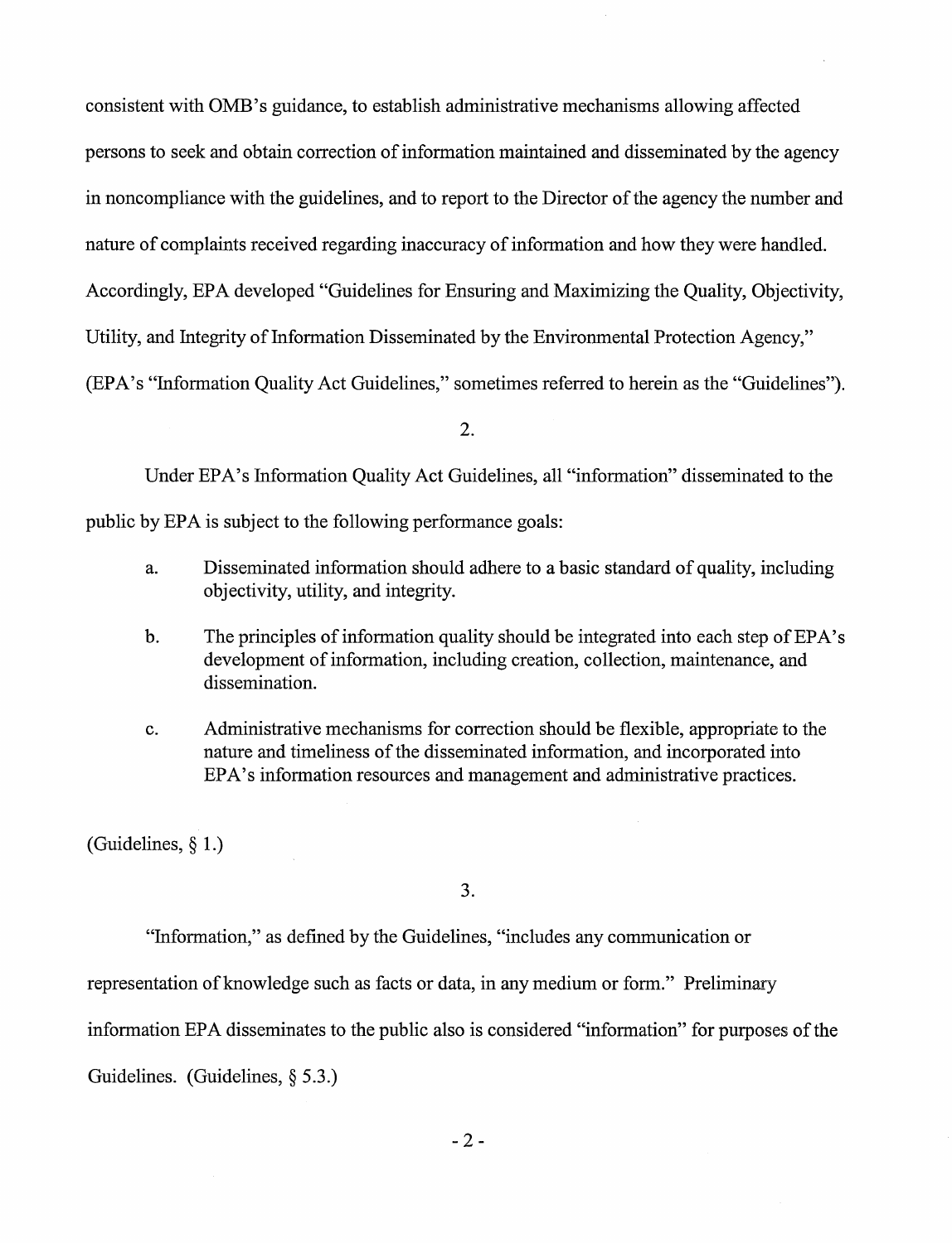consistent with OMB 's guidance, to establish administrative mechanisms allowing affected persons to seek and obtain correction of information maintained and disseminated by the agency in noncompliance with the guidelines, and to report to the Director of the agency the number and nature of complaints received regarding inaccuracy of information and how they were handled. Accordingly, EPA developed "Guidelines for Ensuring and Maximizing the Quality, Objectivity, Utility, and Integrity of Information Disseminated by the Environmental Protection Agency," (BPA's "Information Quality Act Guidelines," sometimes referred to herein as the "Guidelines").

2.

Under BPA's Information Quality Act Guidelines, all "information" disseminated to the

public by EPA is subject to the following performance goals:

- a. Disseminated information should adhere to a basic standard of quality, including objectivity, utility, and integrity.
- b. The principles of information quality should be integrated into each step of EPA's development of information, including creation, collection, maintenance, and dissemination.
- c. Administrative mechanisms for correction should be flexible, appropriate to the nature and timeliness of the disseminated information, and incorporated into BPA's information resources and management and administrative practices.

(Guidelines, § 1.)

3.

"Information," as defined by the Guidelines, "includes any communication or

representation of knowledge such as facts or data, in any medium or form." Preliminary

information EPA disseminates to the public also is considered "information" for purposes of the

Guidelines. (Guidelines, § 5.3.)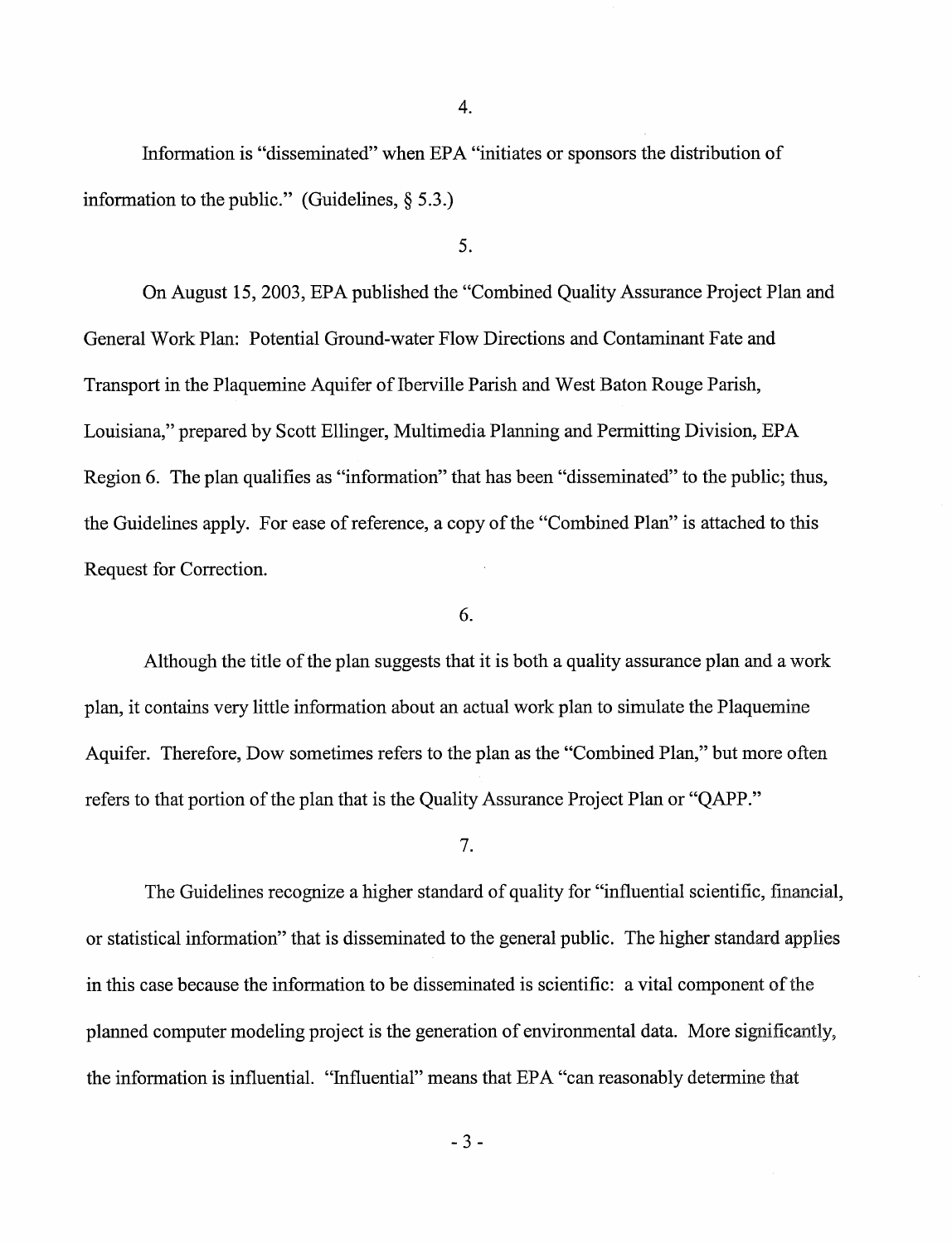Information is "disseminated" when EPA "initiates or sponsors the distribution of information to the public." (Guidelines,  $\S$  5.3.)

## 5.

4.

On August 15, 2003, EPA published the "Combined Quality Assurance Project Plan and General Work Plan: Potential Ground-water Flow Directions and Contaminant Fate and Transport in the Plaquemine Aquifer of Iberville Parish and West Baton Rouge Parish, Louisiana," prepared by Scott Ellinger, Multimedia Planning and Permitting Division, EPA Region 6. The plan qualifies as "information" that has been "disseminated" to the public; thus, the Guidelines apply. For ease of reference, a copy of the "Combined Plan" is attached to this Request for Correction.

## 6.

Although the title of the plan suggests that it is both a quality assurance plan and a work plan, it contains very little information about an actual work plan to simulate the Plaquemine Aquifer. Therefore, Dow sometimes refers to the plan as the "Combined Plan," but more often refers to that portion of the plan that is the Quality Assurance Project Plan or "QAPP."

7.

The Guidelines recognize a higher standard of quality for "influential scientific, financial, or statistical information" that is disseminated to the general public. The higher standard applies in this case because the information to be disseminated is scientific: a vital component of the planned computer modeling project is the generation of environmental data. More significantly, the information is influential. "Influential" means that EPA "can reasonably determine that

- 3 -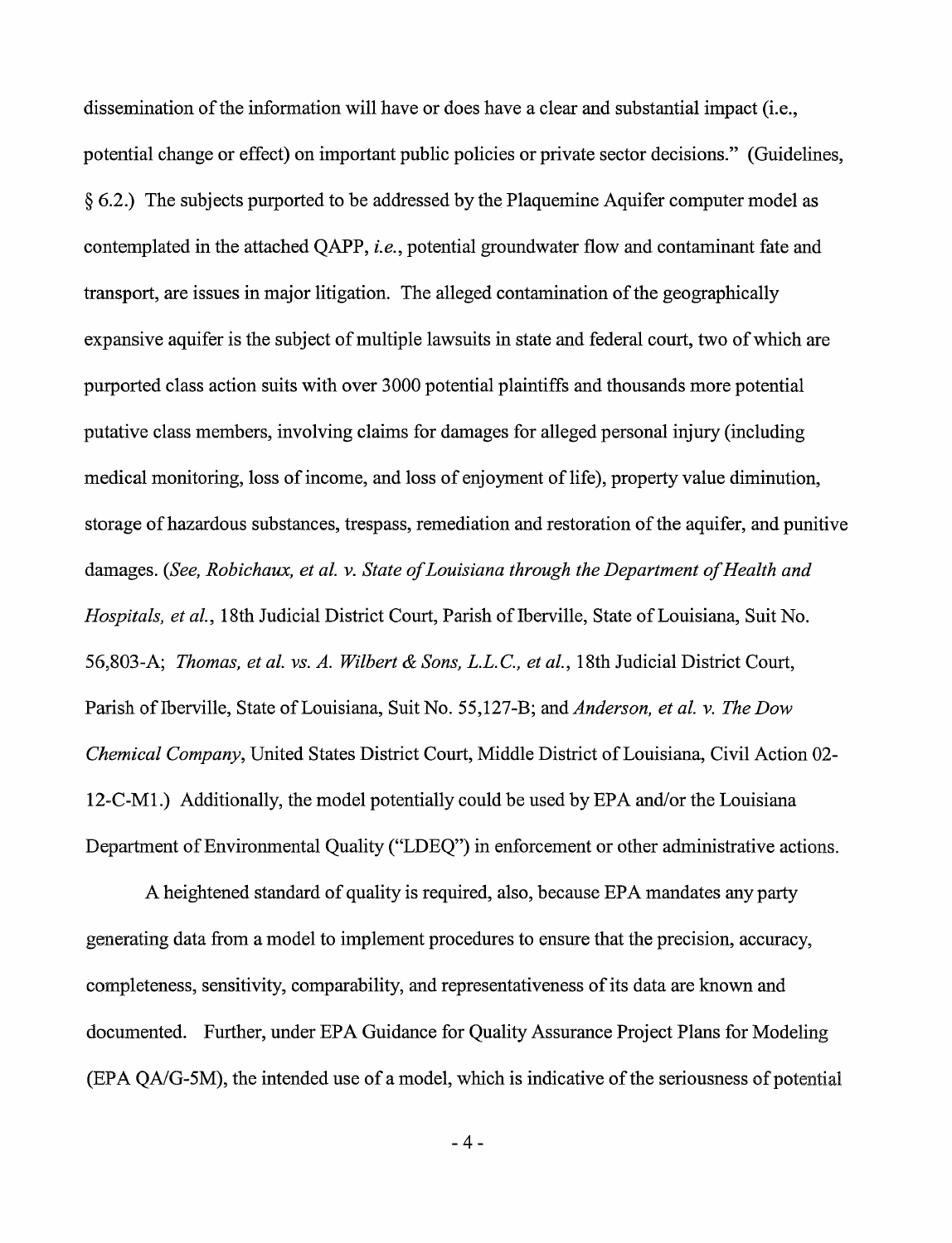dissemination ofthe information will have or does have a clear and substantial impact (i.e., potential change or effect) on important public policies or private sector decisions." (Guidelines,  $§$  6.2.) The subjects purported to be addressed by the Plaquemine Aquifer computer model as contemplated in the attached QAPP, *i.e.,* potential groundwater flow and contaminant fate and transport, are issues in major litigation. The alleged contamination of the geographically expansive aquifer is the subject of multiple lawsuits in state and federal court, two of which are purported class action suits with over 3000 potential plaintiffs and thousands more potential putative class members, involving claims for damages for alleged personal injury (including medical monitoring, loss of income, and loss of enjoyment of life), property value diminution, storage of hazardous substances, trespass, remediation and restoration of the aquifer, and punitive damages. *(See, Robichaux, et al. y. State of Louisiana through the Department of Health and Hospitals, et al., 18th Judicial District Court, Parish of Iberville, State of Louisiana, Suit No.* 56,803-A; *Thomas, et al. vs. A. Wilbert* & *Sons, L.L.C., et al.,* 18th Judicial District Court, Parish of Iberville, State of Louisiana, Suit No. 55,127-B; and *Anderson, et al. v. The Dow Chemical Company*, United States District Court, Middle District of Louisiana, Civil Action 02-12-C-M1.) Additionally, the model potentially could be used by EPA and/or the Louisiana Department of Environmental Quality ("LDEQ") in enforcement or other administrative actions.

A heightened standard of quality is required, also, because EPA mandates any party generating data from a model to implement procedures to ensure that the precision, accuracy, completeness, sensitivity, comparability, and representativeness of its data are known and documented. Further, under EPA Guidance for Quality Assurance Project Plans for Modeling (EPA QA/G-5M), the intended use of a model, which is indicative of the seriousness of potential

-4-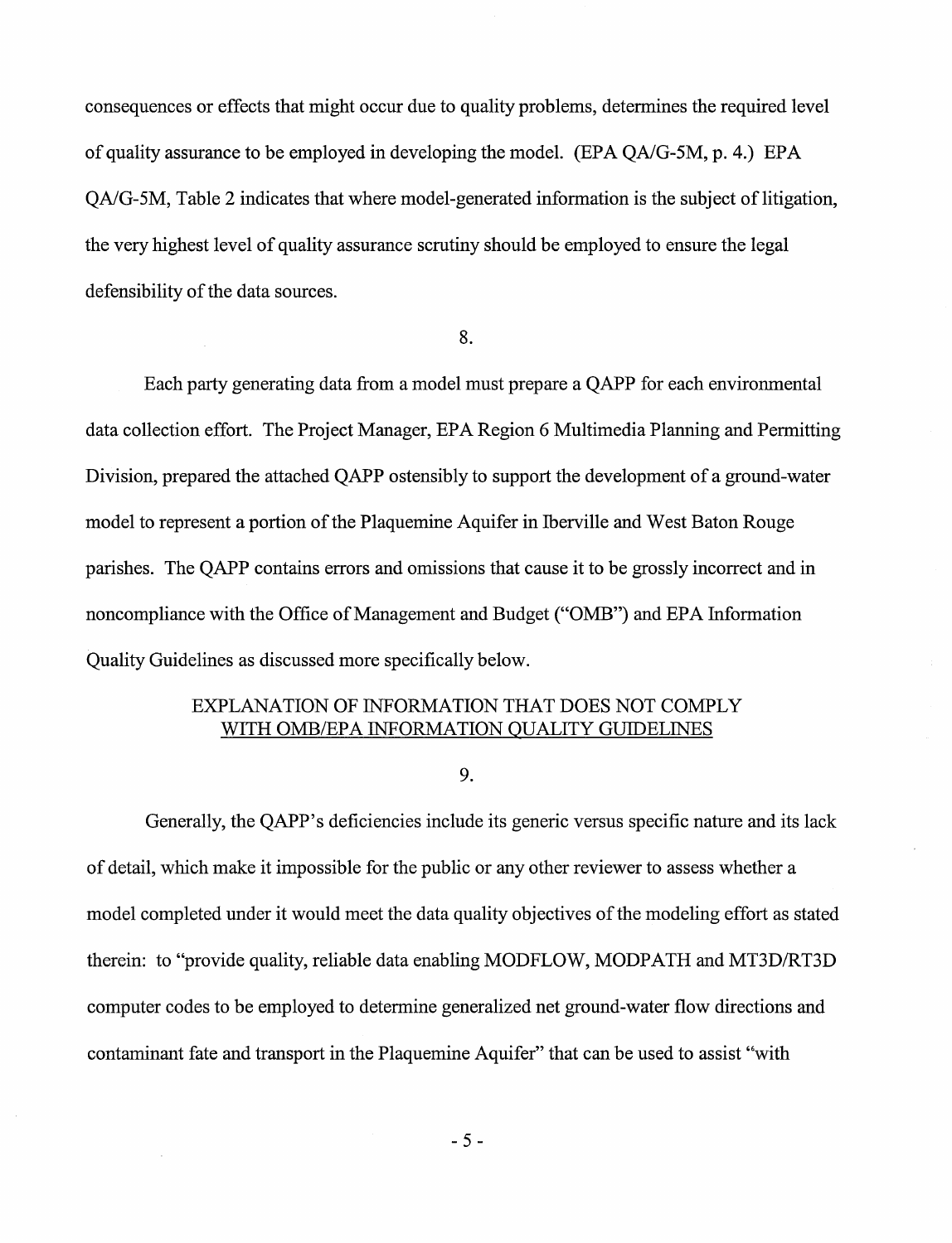consequences or effects that might occur due to quality problems, determines the required level of quality assurance to be employed in developing the model. (EPA QA/G-5M, p. 4.) EPA QA/G-5M, Table 2 indicates that where model-generated information is the subject of litigation, the very highest level of quality assurance scrutiny should be employed to ensure the legal defensibility of the data sources.

8.

Each party generating data from a model must prepare a QAPP for each environmental data collection effort. The Project Manager, EPA Region 6 Multimedia Planning and Permitting Division, prepared the attached QAPP ostensibly to support the development of a ground-water model to represent a portion of the Plaquemine Aquifer in Iberville and West Baton Rouge parishes. The QAPP contains errors and omissions that cause it to be grossly incorrect and in noncompliance with the Office of Management and Budget ("OMB") and EPA Information Quality Guidelines as discussed more specifically below.

# EXPLANATION OF INFORMATION THAT DOES NOT COMPLY WITH OMB/EPA INFORMATION QUALITY GUIDELINES

9.

Generally, the QAPP's deficiencies include its generic versus specific nature and its lack of detail, which make it impossible for the public or any other reviewer to assess whether a model completed under it would meet the data quality objectives of the modeling effort as stated therein: to "provide quality, reliable data enabling MODFLOW, MODPATH and MT3D/RT3D computer codes to be employed to determine generalized net ground-water flow directions and contaminant fate and transport in the Plaquemine Aquifer" that can be used to assist "with

- 5 -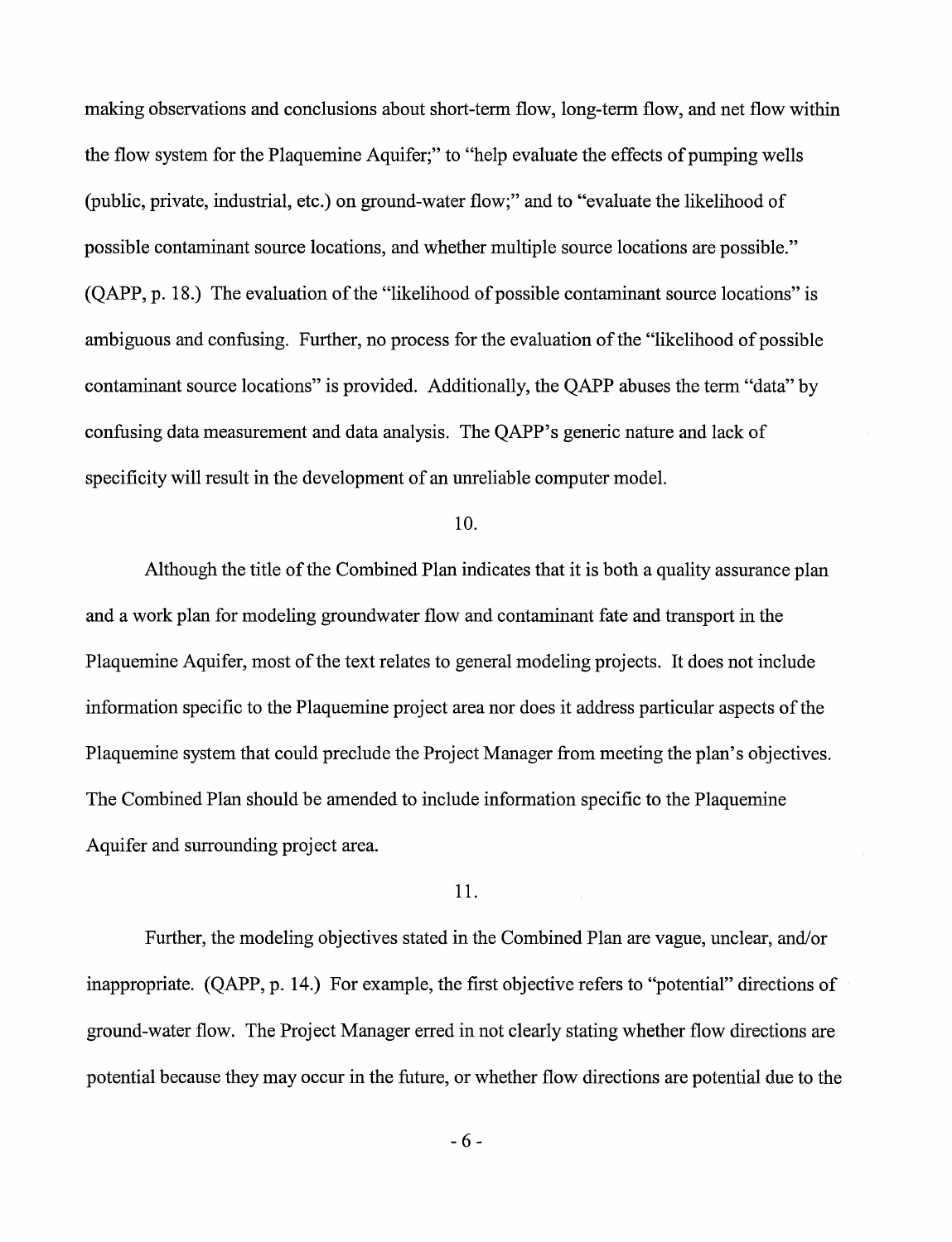making observations and conclusions about short-term flow, long-term flow, and net flow within the flow system for the Plaquemine Aquifer;" to "help evaluate the effects of pumping wells (public, private, industrial, etc.) on ground-water flow;" and to "evaluate the likelihood of possible contaminant source locations, and whether multiple source locations are possible."  $(OAPP, p. 18.)$  The evaluation of the "likelihood of possible contaminant source locations" is ambiguous and confusing. Further, no process for the evaluation of the "likelihood of possible" contaminant source locations" is provided. Additionally, the QAPP abuses the term "data" by confusing data measurement and data analysis. The QAPP's generic nature and lack of specificity will result in the development of an unreliable computer model.

### 10.

Although the title of the Combined Plan indicates that it is both a quality assurance plan and a work plan for modeling groundwater flow and contaminant fate and transport in the Plaquemine Aquifer, most of the text relates to general modeling projects. It does not include information specific to the Plaquemine project area nor does it address particular aspects of the Plaquemine system that could preclude the Project Manager from meeting the plan's objectives. The Combined Plan should be amended to include information specific to the Plaquemine Aquifer and surrounding project area.

#### 11.

Further, the modeling objectives stated in the Combined Plan are vague, unclear, and/or inappropriate. (QAPP, p. 14.) For example, the first objective refers to "potential" directions of ground-water flow. The Project Manager erred in not clearly stating whether flow directions are potential because they may occur in the future, or whether flow directions are potential due to the

- 6 -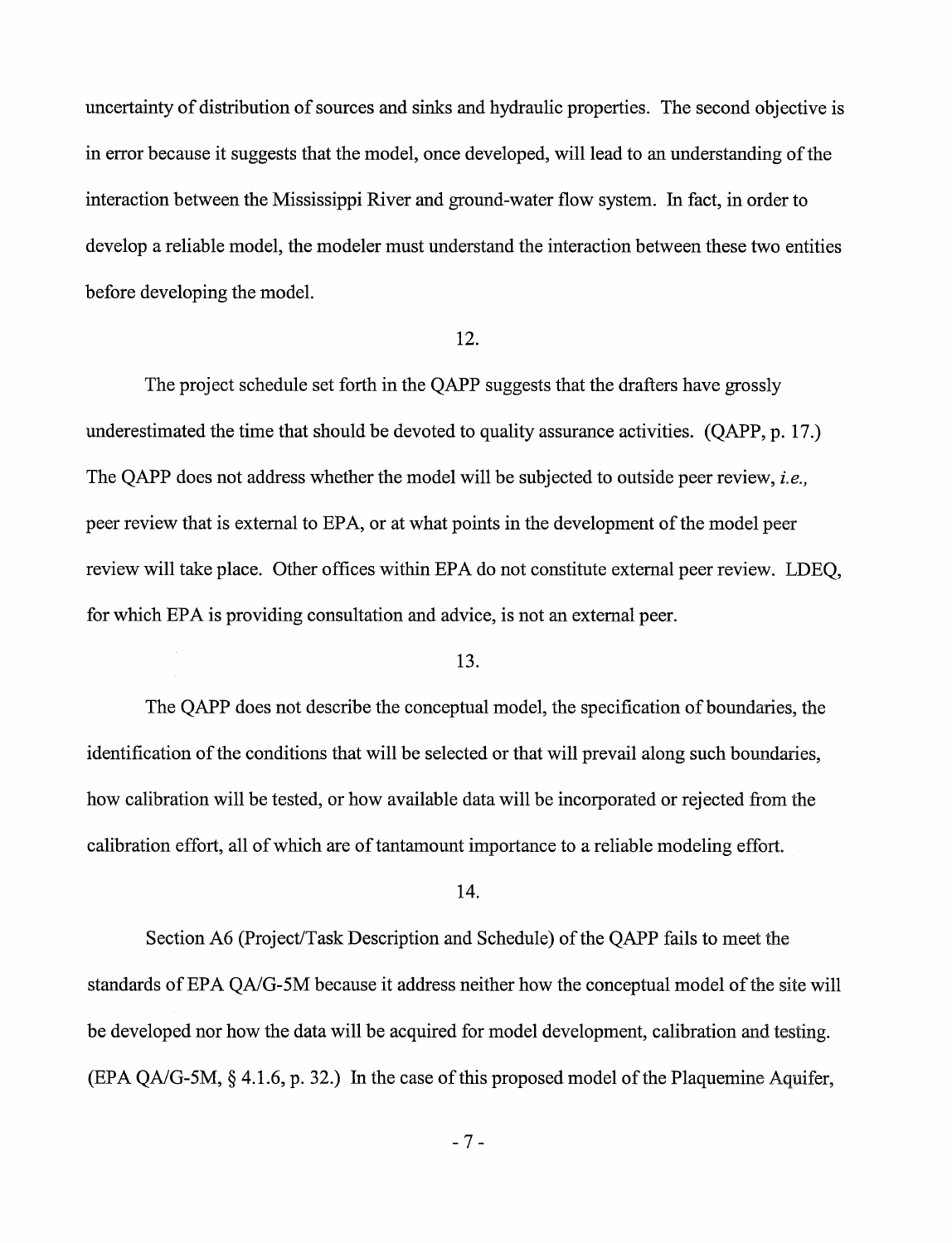uncertainty of distribution of sources and sinks and hydraulic properties. The second objective is in error because it suggests that the model, once developed, will lead to an understanding ofthe interaction between the Mississippi River and ground-water flow system. In fact, in order to develop a reliable model, the modeler must understand the interaction between these two entities before developing the model.

#### 12.

The project schedule set forth in the QAPP suggests that the drafters have grossly underestimated the time that should be devoted to quality assurance activities. (QAPP, p. 17.) The QAPP does not address whether the model will be subjected to outside peer review, *i.e.,*  peer review that is external to EPA, or at what points in the development ofthe model peer review will take place. Other offices within EPA do not constitute external peer review. LDEQ, for which EPA is providing consultation and advice, is not an external peer.

#### 13.

The QAPP does not describe the conceptual model, the specification of boundaries, the identification of the conditions that will be selected or that will prevail along such boundaries, how calibration will be tested, or how available data will be incorporated or rejected from the calibration effort, all of which are of tantamount importance to a reliable modeling effort.

#### 14.

Section A6 (Project/Task Description and Schedule) of the QAPP fails to meet the standards of EPA QA/G-5M because it address neither how the conceptual model of the site will be developed nor how the data will be acquired for model development, calibration and testing.  $(EPA OA/G-5M, § 4.1.6, p. 32.)$  In the case of this proposed model of the Plaquemine Aquifer,

- 7 -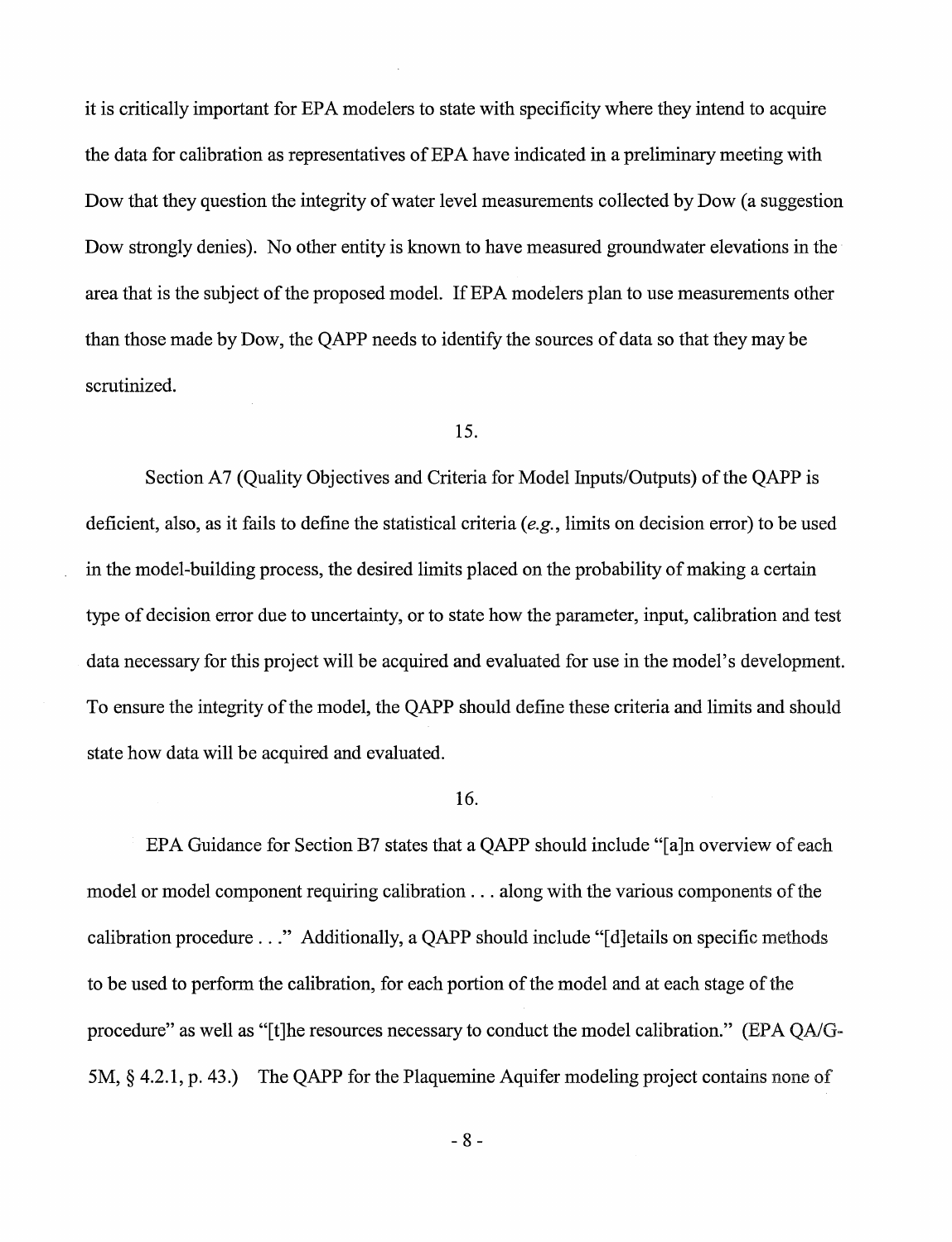it is critically important for EPA modelers to state with specificity where they intend to acquire the data for calibration as representatives of EPA have indicated in a preliminary meeting with Dow that they question the integrity of water level measurements collected by Dow (a suggestion Dow strongly denies). No other entity is known to have measured groundwater elevations in the area that is the subject of the proposed model. If EPA modelers plan to use measurements other than those made by Dow, the QAPP needs to identify the sources of data so that they may be scrutinized.

## 15.

Section A7 (Quality Objectives and Criteria for Model Inputs/Outputs) of the QAPP is deficient, also, as it fails to define the statistical criteria *(e.g.,* limits on decision error) to be used in the model-building process, the desired limits placed on the probability of making a certain type of decision error due to uncertainty, or to state how the parameter, input, calibration and test data necessary for this project will be acquired and evaluated for use in the model's development. To ensure the integrity of the model, the OAPP should define these criteria and limits and should state how data will be acquired and evaluated.

### 16.

EPA Guidance for Section B7 states that a QAPP should include "[a]n overview of each model or model component requiring calibration  $\dots$  along with the various components of the calibration procedure ..." Additionally, a QAPP should include "[d]etails on specific methods to be used to perform the calibration, for each portion of the model and at each stage of the procedure" as well as "[t]he resources necessary to conduct the model calibration." (EPA QA/G-5M, § 4.2.1, p. 43.) The QAPP for the Plaquemine Aquifer modeling project contains none of

- 8 -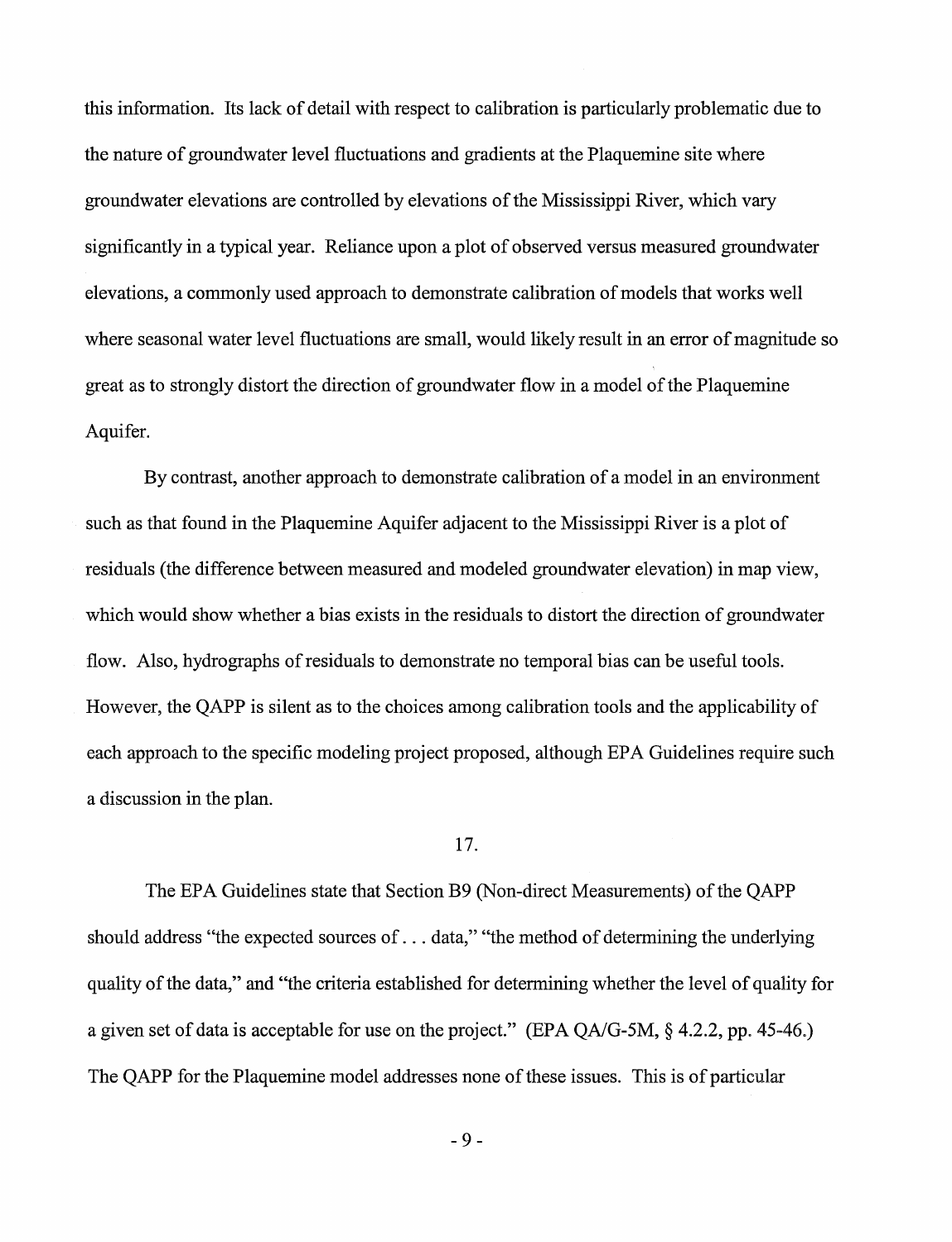this information. Its lack of detail with respect to calibration is particularly problematic due to the nature of groundwater level fluctuations and gradients at the Plaquemine site where groundwater elevations are controlled by elevations of the Mississippi River, which vary significantly in a typical year. Reliance upon a plot of observed versus measured groundwater elevations, a commonly used approach to demonstrate calibration of models that works well where seasonal water level fluctuations are small, would likely result in an error of magnitude so great as to strongly distort the direction of groundwater flow in a model of the Plaquemine Aquifer.

By contrast, another approach to demonstrate calibration of a model in an environment such as that found in the Plaquemine Aquifer adjacent to the Mississippi River is a plot of residuals (the difference between measured and modeled groundwater elevation) in map view, which would show whether a bias exists in the residuals to distort the direction of groundwater flow. Also, hydrographs ofresiduals to demonstrate no temporal bias can be useful tools. However, the QAPP is silent as to the choices among calibration tools and the applicability of each approach to the specific modeling project proposed, although EPA Guidelines require such a discussion in the plan.

# 17.

The EPA Guidelines state that Section B9 (Non-direct Measurements) of the QAPP should address "the expected sources of ... data," "the method of determining the underlying quality of the data," and "the criteria established for determining whether the level of quality for a given set of data is acceptable for use on the project." (EPA  $OA/G$ -5M,  $§$  4.2.2, pp. 45-46.) The QAPP for the Plaquemine model addresses none of these issues. This is of particular

- 9 -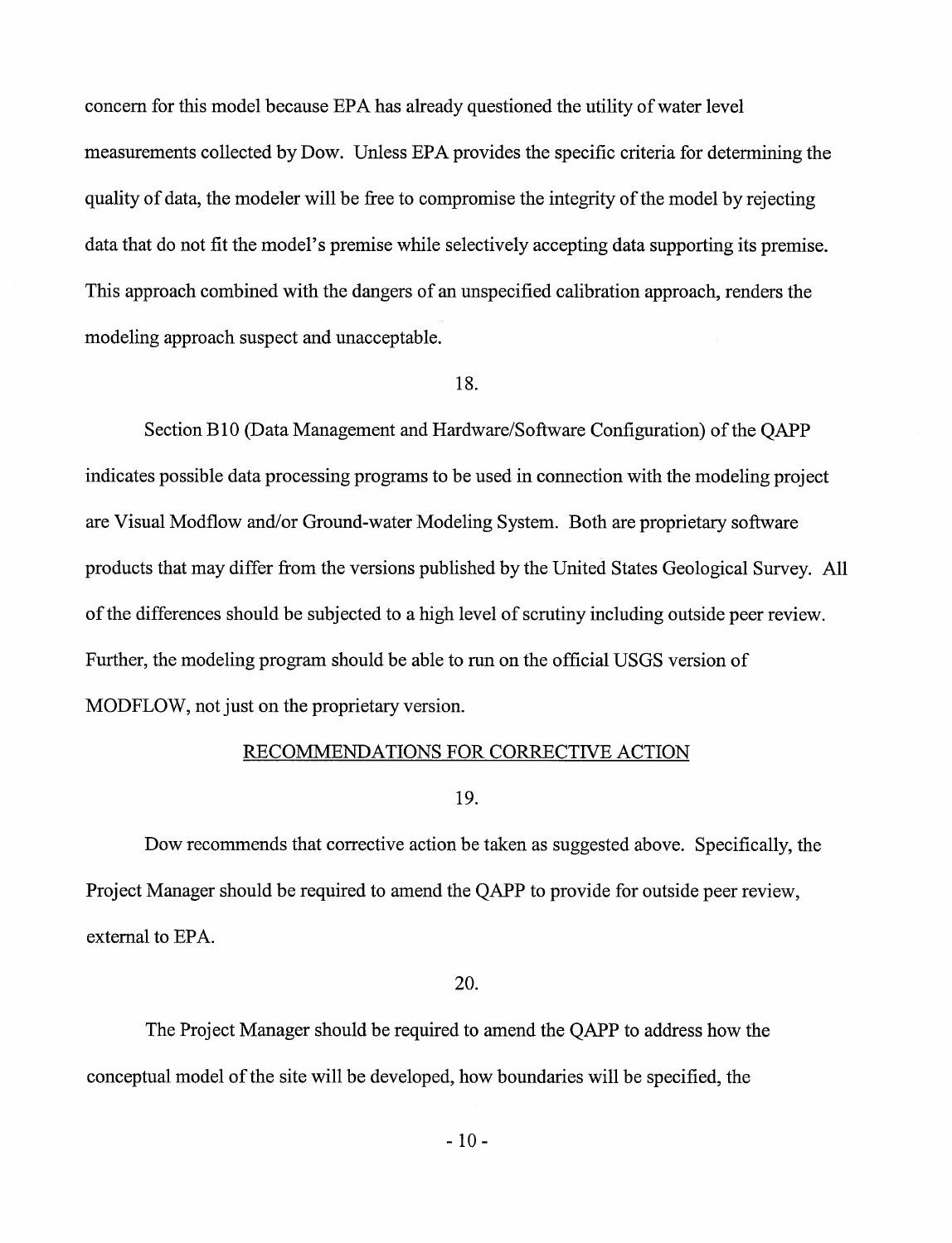concern for this model because EPA has already questioned the utility of water level measurements collected by Dow. Unless EPA provides the specific criteria for determining the quality of data, the modeler will be free to compromise the integrity of the model by rejecting data that do not fit the model's premise while selectively accepting data supporting its premise. This approach combined with the dangers of an unspecified calibration approach, renders the modeling approach suspect and unacceptable.

18.

Section B10 (Data Management and Hardware/Software Configuration) of the OAPP indicates possible data processing programs to be used in connection with the modeling project are Visual Modflow and/or Ground-water Modeling System. Both are proprietary software products that may differ from the versions published by the United States Geological Survey. All ofthe differences should be subjected to a high level of scrutiny including outside peer review. Further, the modeling program should be able to run on the official USGS version of MODFLOW, not just on the proprietary version.

### RECOMMENDATIONS FOR CORRECTIVE ACTION

19.

Dow recommends that corrective action be taken as suggested above. Specifically, the Project Manager should be required to amend the QAPP to provide for outside peer review, external to EPA.

20.

The Project Manager should be required to amend the QAPP to address how the conceptual model of the site will be developed, how boundaries will be specified, the

- 10-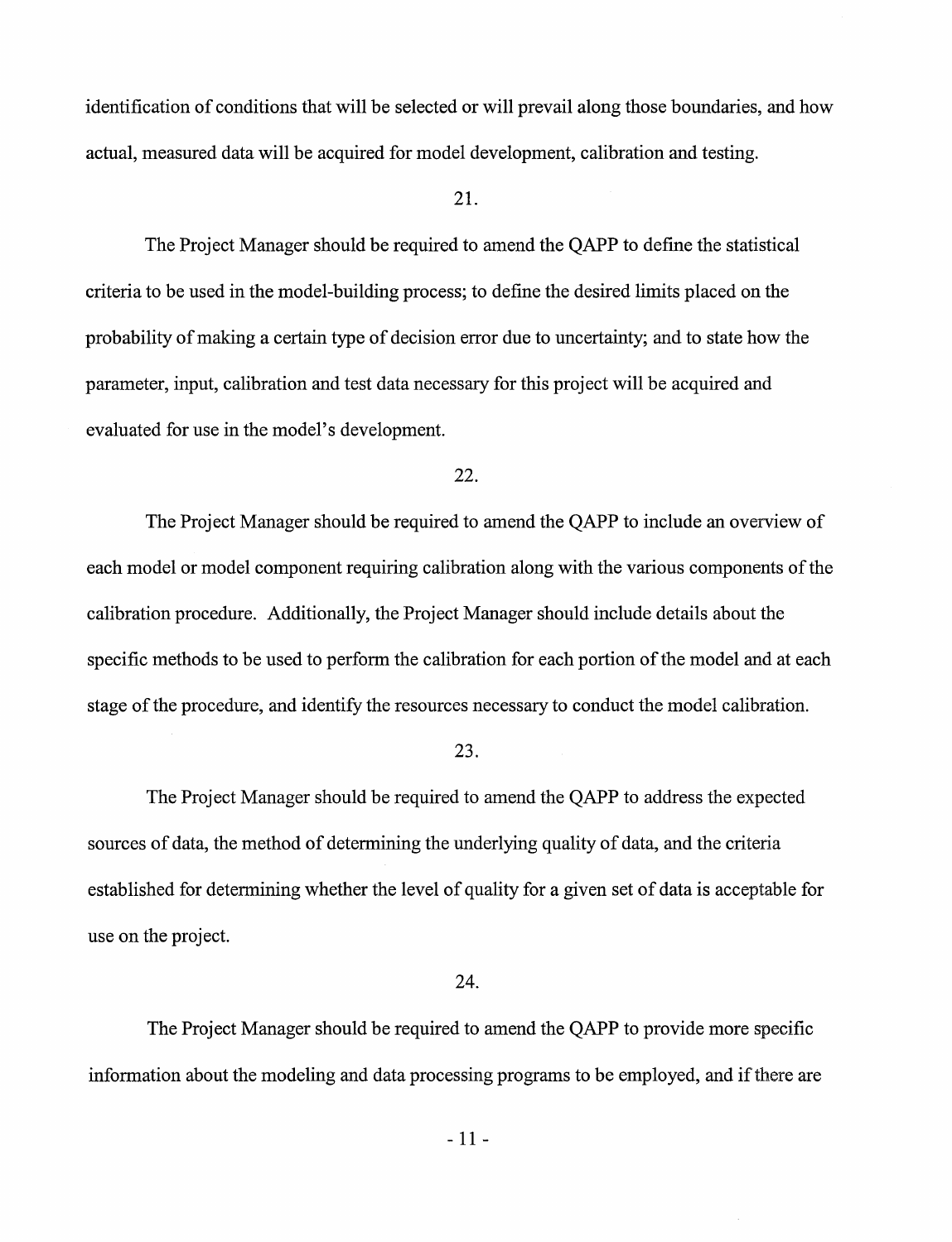identification of conditions that will be selected or will prevail along those boundaries, and how actual, measured data will be acquired for model development, calibration and testing.

# 21.

The Project Manager should be required to amend the QAPP to define the statistical criteria to be used in the model-building process; to define the desired limits placed on the probability of making a certain type of decision error due to uncertainty; and to state how the parameter, input, calibration and test data necessary for this project will be acquired and evaluated for use in the model's development.

## 22.

The Project Manager should be required to amend the QAPP to include an overview of each model or model component requiring calibration along with the various components of the calibration procedure. Additionally, the Project Manager should include details about the specific methods to be used to perform the calibration for each portion of the model and at each stage of the procedure, and identify the resources necessary to conduct the model calibration.

#### 23.

The Project Manager should be required to amend the QAPP to address the expected sources of data, the method of determining the underlying quality of data, and the criteria established for determining whether the level of quality for a given set of data is acceptable for use on the project.

## 24.

The Project Manager should be required to amend the QAPP to provide more specific information about the modeling and data processing programs to be employed, and if there are

- 11 -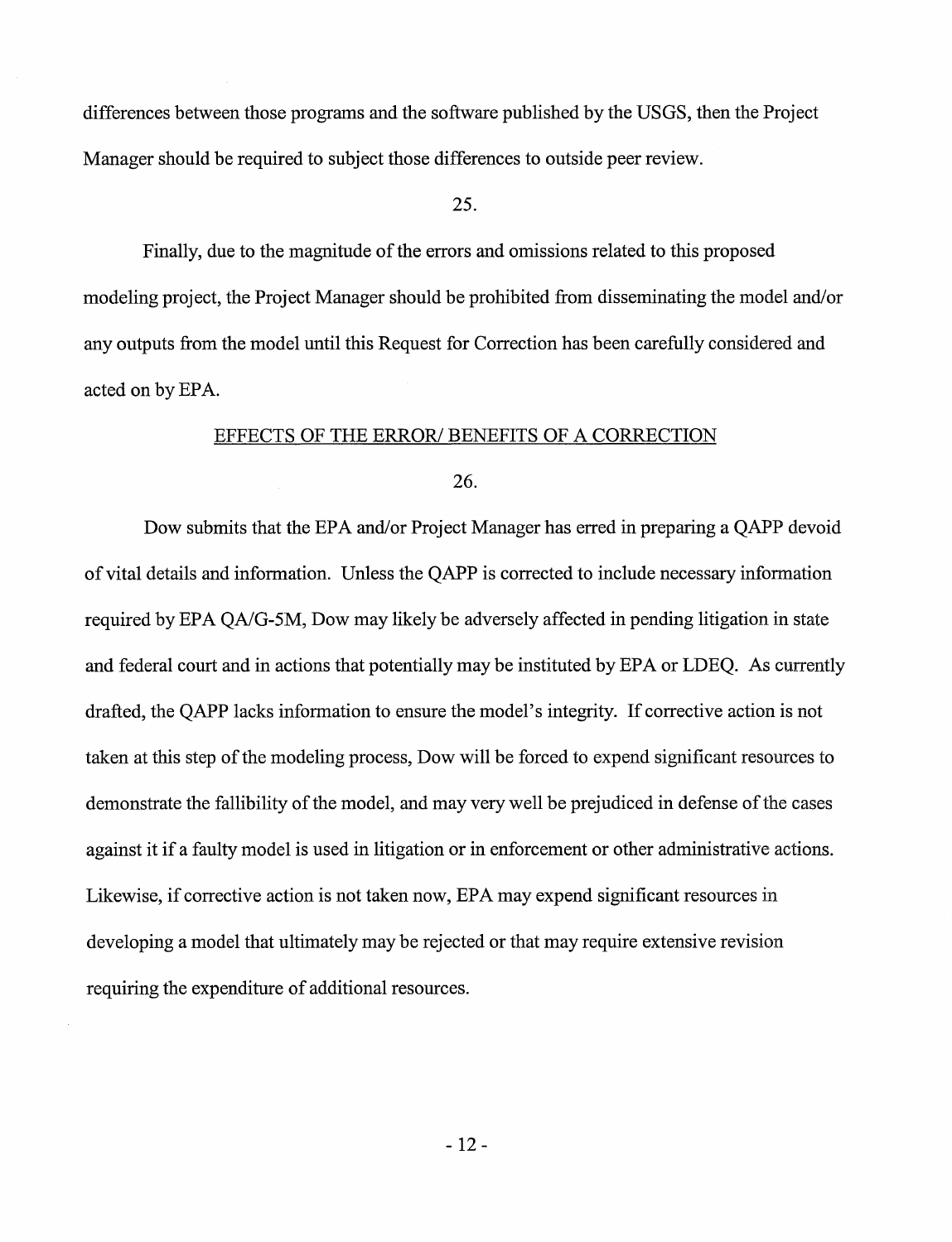differences between those programs and the software published by the USGS, then the Project Manager should be required to subject those differences to outside peer review.

## 25.

Finally, due to the magnitude of the errors and omissions related to this proposed modeling project, the Project Manager should be prohibited from disseminating the model and/or any outputs from the model until this Request for Correction has been carefully considered and acted on by EPA.

### EFFECTS OF THE ERROR/ BENEFITS OF A CORRECTION

#### 26.

Dow submits that the EPA and/or Project Manager has erred in preparing a QAPP devoid of vital details and information. Unless the QAPP is corrected to include necessary information required by EPA QA/G-5M, Dow may likely be adversely affected in pending litigation in state and federal court and in actions that potentially may be instituted by EPA or LDEQ. As currently drafted, the QAPP lacks information to ensure the model's integrity. If corrective action is not taken at this step of the modeling process, Dow will be forced to expend significant resources to demonstrate the fallibility of the model, and may very well be prejudiced in defense of the cases against it if a faulty model is used in litigation or in enforcement or other administrative actions. Likewise, if corrective action is not taken now, EPA may expend significant resources in developing a model that ultimately may be rejected or that may require extensive revision requiring the expenditure of additional resources.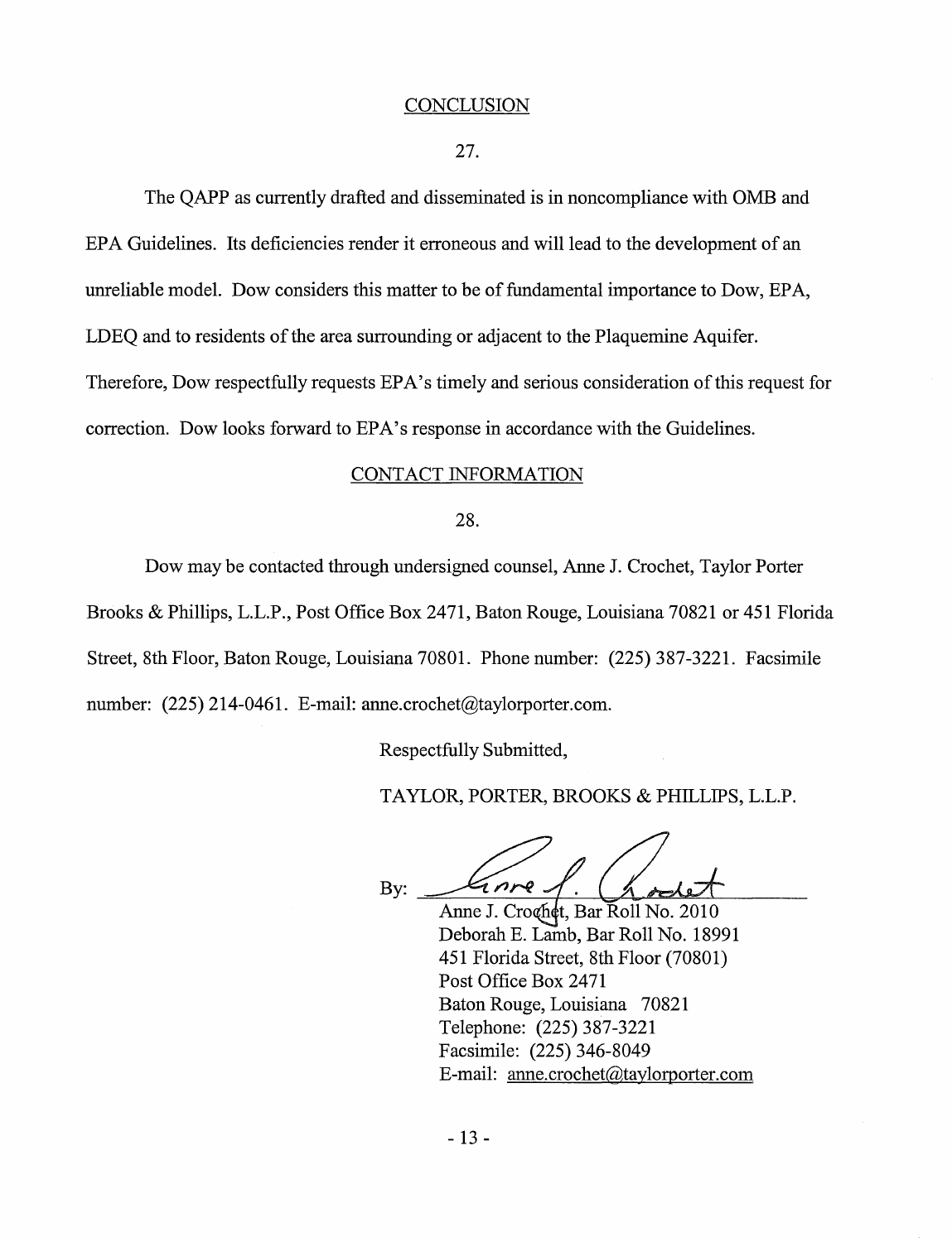#### **CONCLUSION**

27.

The QAPP as currently drafted and disseminated is in noncompliance with OMB and EPA Guidelines. Its deficiencies render it erroneous and will lead to the development of an unreliable model. Dow considers this matter to be of fundamental importance to Dow, EPA, LDEQ and to residents of the area surrounding or adjacent to the Plaquemine Aquifer. Therefore, Dow respectfully requests EPA's timely and serious consideration ofthis request for correction. Dow looks forward to EPA's response in accordance with the Guidelines.

#### CONTACT INFORMATION

#### 28.

Dow maybe contacted through undersigned counsel, Anne J. Crochet, Taylor Porter Brooks & Phillips, L.L.P., Post Office Box 2471, Baton Rouge, Louisiana 70821 or 451 Florida Street, 8th Floor, Baton Rouge, Louisiana 70801. Phone number: (225) 387-3221. Facsimile number: (225) 214-0461. E-mail: [anne.crochet@taylorporter.com.](mailto:anne.crochet@taylorporter.com)

Respectfully Submitted,

TAYLOR, PORTER, BROOKS & PHILLIPS, L.L.P.

inre By:

Anne J. Croghet, Bar Roll No. 2010 Deborah E. Lamb, Bar Roll No. 18991 451 Florida Street, 8th Floor (70801) Post Office Box 2471 Baton Rouge, Louisiana 70821 Telephone: (225) 387-3221 Facsimile: (225) 346-8049 E-mail: [anne.crochet@taylorporter.com](mailto:anne.crochet@taylorporter.com)